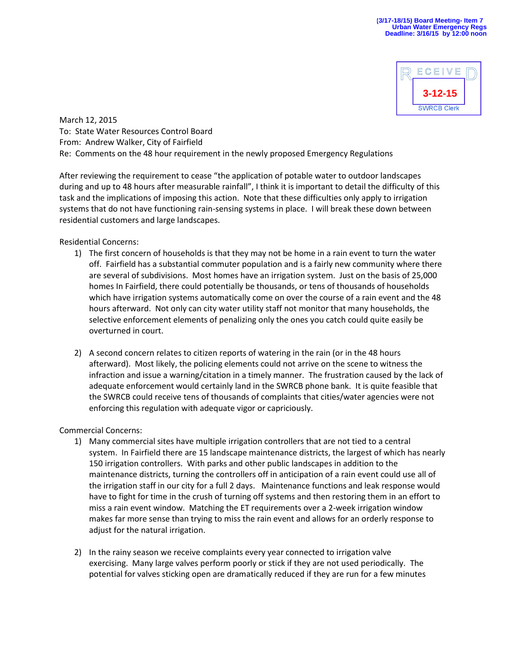

March 12, 2015 To: State Water Resources Control Board From: Andrew Walker, City of Fairfield Re: Comments on the 48 hour requirement in the newly proposed Emergency Regulations

After reviewing the requirement to cease "the application of potable water to outdoor landscapes during and up to 48 hours after measurable rainfall", I think it is important to detail the difficulty of this task and the implications of imposing this action. Note that these difficulties only apply to irrigation systems that do not have functioning rain-sensing systems in place. I will break these down between residential customers and large landscapes.

## Residential Concerns:

- 1) The first concern of households is that they may not be home in a rain event to turn the water off. Fairfield has a substantial commuter population and is a fairly new community where there are several of subdivisions. Most homes have an irrigation system. Just on the basis of 25,000 homes In Fairfield, there could potentially be thousands, or tens of thousands of households which have irrigation systems automatically come on over the course of a rain event and the 48 hours afterward. Not only can city water utility staff not monitor that many households, the selective enforcement elements of penalizing only the ones you catch could quite easily be overturned in court.
- 2) A second concern relates to citizen reports of watering in the rain (or in the 48 hours afterward). Most likely, the policing elements could not arrive on the scene to witness the infraction and issue a warning/citation in a timely manner. The frustration caused by the lack of adequate enforcement would certainly land in the SWRCB phone bank. It is quite feasible that the SWRCB could receive tens of thousands of complaints that cities/water agencies were not enforcing this regulation with adequate vigor or capriciously.

## Commercial Concerns:

- 1) Many commercial sites have multiple irrigation controllers that are not tied to a central system. In Fairfield there are 15 landscape maintenance districts, the largest of which has nearly 150 irrigation controllers. With parks and other public landscapes in addition to the maintenance districts, turning the controllers off in anticipation of a rain event could use all of the irrigation staff in our city for a full 2 days. Maintenance functions and leak response would have to fight for time in the crush of turning off systems and then restoring them in an effort to miss a rain event window. Matching the ET requirements over a 2-week irrigation window makes far more sense than trying to miss the rain event and allows for an orderly response to adjust for the natural irrigation.
- 2) In the rainy season we receive complaints every year connected to irrigation valve exercising. Many large valves perform poorly or stick if they are not used periodically. The potential for valves sticking open are dramatically reduced if they are run for a few minutes